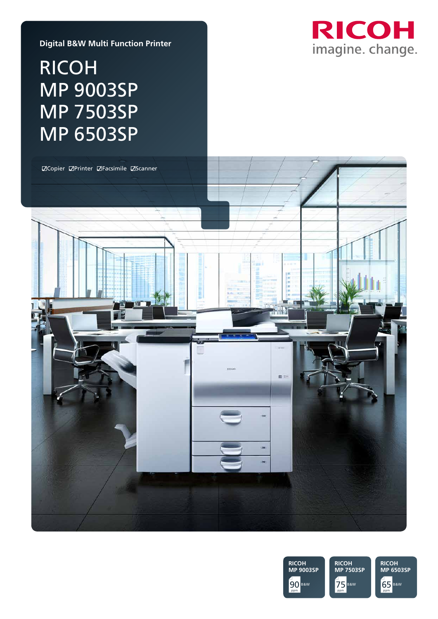

#### **Digital B&W Multi Function Printer**

# RICOH MP 9003SP MP 7503SP MP 6503SP



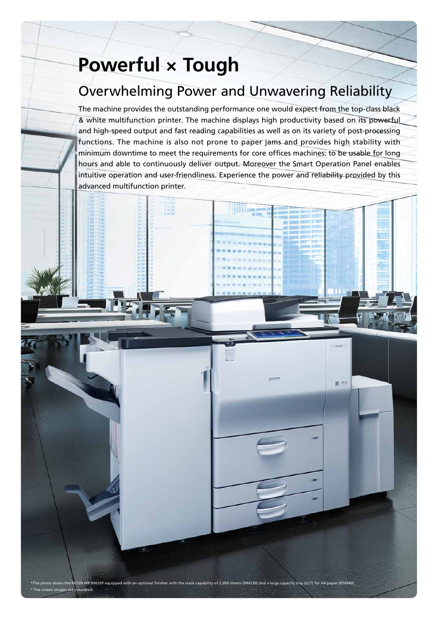# **Powerful × Tough**

## Overwhelming Power and Unwavering Reliability

The machine provides the outstanding performance one would expect from the top-class black & white multifunction printer. The machine displays high productivity based on its powerful and high-speed output and fast reading capabilities as well as on its variety of post-processing functions. The machine is also not prone to paper jams and provides high stability with minimum downtime to meet the requirements for core offices machines: to be usable for long hours and able to continuously deliver output. Moreover the Smart Operation Panel enables intuitive operation and user-friendliness. Experience the power and reliability provided by this advanced multifunction printer.

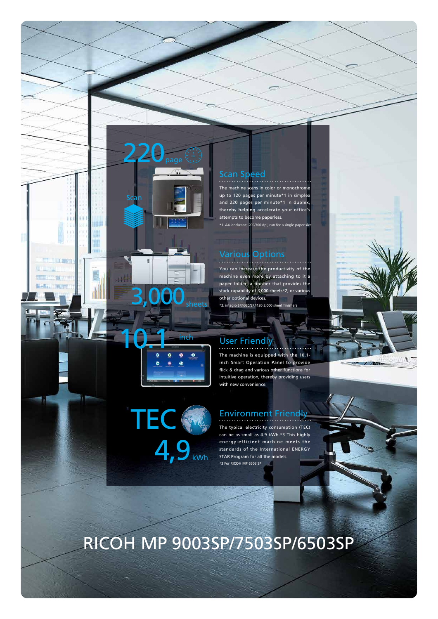#### Scan Speed

\*1. A4 landscape, 200/300 dpi, run for a single paper size. The machine scans in color or n up to 120 pages per minute\*1 in simplex and 220 pages per minute\*1 in duplex, thereby helping accelerate your offic attempts to become paperless.

#### Various Options

io SR4080/SR4120 3,000 You can increase the productivity machine even more by attaching to paper folder, a finisher that prov stack capability of 3,000 sh other optional devices.

#### User Friendly

The machine is equipped with the 10.1 inch Smart Operation Panel to provide flick & drag and various other functions for intuitive operation, thereby providing users with new convenience

#### Environment Friendly

The typical electricity consumption (TEC) can be as small as 4.9 kWh.\*3 This highly energy-efficient machine meets the standards of the International ENERGY STAR Program for all the models. \*3 For RICOH MP 6503 SP





# RICOH MP 9003SP/7503SP/6503SP

**TEC** 

10.1 inch

3,000<sub>sheets</sub>

 $\int_{\text{page}}$ 

Scan

4,9<sub>kWh</sub>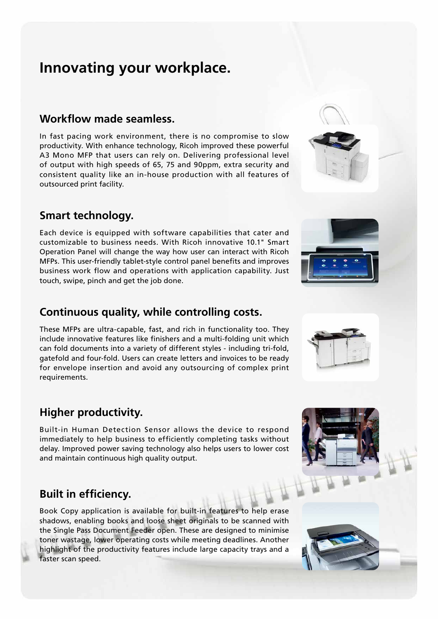## **Innovating your workplace.**

#### **Workflow made seamless.**

In fast pacing work environment, there is no compromise to slow productivity. With enhance technology, Ricoh improved these powerful A3 Mono MFP that users can rely on. Delivering professional level of output with high speeds of 65, 75 and 90ppm, extra security and consistent quality like an in-house production with all features of outsourced print facility.

#### **Smart technology.**

Each device is equipped with software capabilities that cater and customizable to business needs. With Ricoh innovative 10.1" Smart Operation Panel will change the way how user can interact with Ricoh MFPs. This user-friendly tablet-style control panel benefits and improves business work flow and operations with application capability. Just touch, swipe, pinch and get the job done.

### **Continuous quality, while controlling costs.**

These MFPs are ultra-capable, fast, and rich in functionality too. They include innovative features like finishers and a multi-folding unit which can fold documents into a variety of different styles - including tri-fold, gatefold and four-fold. Users can create letters and invoices to be ready for envelope insertion and avoid any outsourcing of complex print requirements.

### **Higher productivity.**

Built-in Human Detection Sensor allows the device to respond immediately to help business to efficiently completing tasks without delay. Improved power saving technology also helps users to lower cost and maintain continuous high quality output.

#### **Built in efficiency.**

Book Copy application is available for built-in features to help erase shadows, enabling books and loose sheet originals to be scanned with the Single Pass Document Feeder open. These are designed to minimise toner wastage, lower operating costs while meeting deadlines. Another highlight of the productivity features include large capacity trays and a faster scan speed.







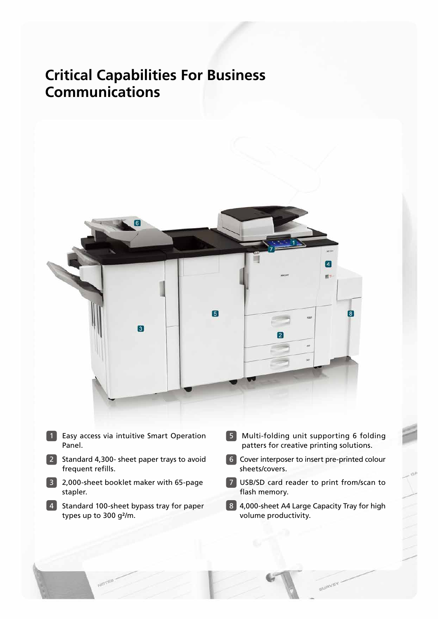## **Critical Capabilities For Business Communications**



- 1 Easy access via intuitive Smart Operation Panel.
- 2 Standard 4,300- sheet paper trays to avoid frequent refills.
- 3 2,000-sheet booklet maker with 65-page stapler.
- 4 Standard 100-sheet bypass tray for paper types up to 300 g²/m.
- 5 Multi-folding unit supporting 6 folding patters for creative printing solutions.
- 6 Cover interposer to insert pre-printed colour sheets/covers.
- **7** USB/SD card reader to print from/scan to flash memory.
- 8 4,000-sheet A4 Large Capacity Tray for high volume productivity.

**BURVEY**